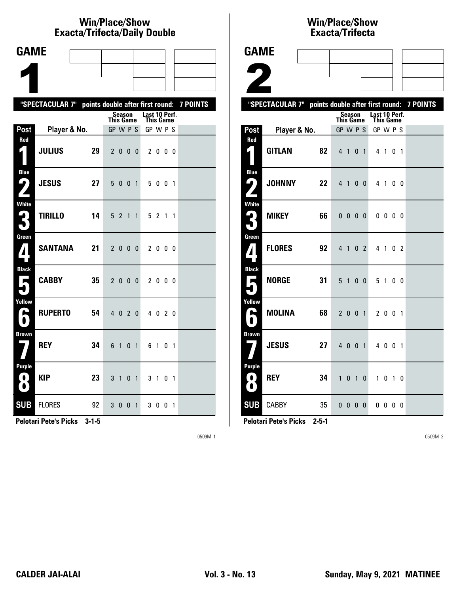# **Win/Place/Show Exacta/Trifecta/Daily Double**

| <b>GAME</b>                                                      |                                                           |    |                              |                |             |                |                       |         |  |  |
|------------------------------------------------------------------|-----------------------------------------------------------|----|------------------------------|----------------|-------------|----------------|-----------------------|---------|--|--|
|                                                                  |                                                           |    |                              |                |             |                |                       |         |  |  |
|                                                                  |                                                           |    |                              |                |             |                |                       |         |  |  |
|                                                                  | "SPECTACULAR 7" points double after first round: 7 POINTS |    |                              |                |             |                |                       |         |  |  |
|                                                                  |                                                           |    |                              | <b>Season</b>  |             |                | Last 10 Perf.         |         |  |  |
| Post                                                             | Player & No.                                              |    | <b>This Game</b><br>GP W P S |                |             |                | This Game<br>GP W P S |         |  |  |
| Red                                                              |                                                           |    |                              |                |             |                |                       |         |  |  |
| 4                                                                | <b>JULIUS</b>                                             | 29 |                              | 2000           |             |                |                       | 2000    |  |  |
| <b>Blue</b>                                                      |                                                           |    |                              |                |             |                |                       |         |  |  |
| <u>( ما</u><br>$\mathbf{Z}$                                      | <b>JESUS</b>                                              | 27 | 5                            |                | $0 \t0 \t1$ |                |                       | 5 0 0 1 |  |  |
| White                                                            | <b>TIRILLO</b>                                            | 14 |                              |                |             |                |                       |         |  |  |
| 2<br>L                                                           |                                                           |    |                              | 5 <sub>2</sub> |             | $1\quad1$      |                       | 5 2 1 1 |  |  |
| Green                                                            | <b>SANTANA</b>                                            | 21 |                              | 2 0 0 0        |             |                |                       | 2 0 0 0 |  |  |
| <b>Black</b>                                                     |                                                           |    |                              |                |             |                |                       |         |  |  |
| $\blacksquare$                                                   | <b>CABBY</b>                                              | 35 |                              | 2000           |             |                |                       | 2000    |  |  |
| Yellow                                                           |                                                           |    |                              |                |             |                |                       |         |  |  |
| ۸                                                                | <b>RUPERTO</b>                                            | 54 |                              | $4\quad0$      | 20          |                |                       | 4 0 2 0 |  |  |
| <b>Brown</b>                                                     | <b>REY</b>                                                | 34 | 6                            | 1              | 0           | $\overline{1}$ |                       | 6 1 0 1 |  |  |
|                                                                  |                                                           |    |                              |                |             |                |                       |         |  |  |
| <b>Purple</b><br>$\left( \begin{array}{c} 0 \end{array} \right)$ | <b>KIP</b>                                                | 23 | 3                            | $\overline{1}$ |             | 0 <sub>1</sub> |                       | 3 1 0 1 |  |  |
| $\bullet$                                                        |                                                           |    |                              |                |             |                |                       |         |  |  |
| <b>SUB</b>                                                       | <b>FLORES</b>                                             | 92 |                              | 3 0 0 1        |             |                |                       | 3001    |  |  |

**Pelotari Pete's Picks 3-1-5**

0509M 1

## **Win/Place/Show Exacta/Tri fecta**

| <b>GAME</b>                               |                                                           |                   |                  |                          |                |                |                            |                          |                |    |  |
|-------------------------------------------|-----------------------------------------------------------|-------------------|------------------|--------------------------|----------------|----------------|----------------------------|--------------------------|----------------|----|--|
|                                           |                                                           |                   |                  |                          |                |                |                            |                          |                |    |  |
| Z                                         |                                                           |                   |                  |                          |                |                |                            |                          |                |    |  |
|                                           | "SPECTACULAR 7" points double after first round: 7 POINTS |                   |                  |                          |                |                |                            |                          |                |    |  |
|                                           |                                                           |                   | <b>This Game</b> | <b>Season</b>            |                |                | Last 10 Perf.<br>This Game |                          |                |    |  |
| Post                                      | Player & No.                                              |                   | GP W P S         |                          |                |                | GP W P S                   |                          |                |    |  |
| Red<br>1                                  | <b>GITLAN</b>                                             | 82                |                  | 410                      |                | $\overline{1}$ | 4 <sub>1</sub>             |                          | 0 <sub>1</sub> |    |  |
| <b>Blue</b><br>${\mathsf L}_\ell$         | <b>JOHNNY</b>                                             | $22 \overline{ }$ |                  | 4 1 0 0                  |                |                |                            | 4 1                      |                | 00 |  |
| <b>White</b>                              | <b>MIKEY</b>                                              | 66                |                  | $0\quad 0\quad 0\quad 0$ |                |                |                            | $0\,0\,0\,0$             |                |    |  |
| Green<br>$\boldsymbol{A}$                 | <b>FLORES</b>                                             | 92                |                  | 4 1 0 2                  |                |                |                            | 4 1 0 2                  |                |    |  |
| <b>Black</b><br>Е                         | <b>NORGE</b>                                              | 31                |                  | 5 <sub>1</sub>           | 0 <sub>0</sub> |                |                            | 5 1 0 0                  |                |    |  |
| Yellow<br>$\blacktriangleright$<br>0      | <b>MOLINA</b>                                             | 68                |                  | 2001                     |                |                |                            | 2 0 0 1                  |                |    |  |
| <b>Brown</b>                              | <b>JESUS</b>                                              | 27                |                  | 4 0 0 1                  |                |                |                            | 4 0 0 1                  |                |    |  |
| <b>Purple</b><br>$\bullet$ .<br>$\bullet$ | <b>REY</b>                                                | 34                | 1                |                          | 0 <sub>1</sub> | 0              | $\mathbf{1}$               |                          | $0$ 1 0        |    |  |
| <b>SUB</b>                                | <b>CABBY</b>                                              | 35                |                  | $0\ 0\ 0\ 0$             |                |                |                            | $0\quad 0\quad 0\quad 0$ |                |    |  |

**Pelotari Pete's Picks 2-5-1**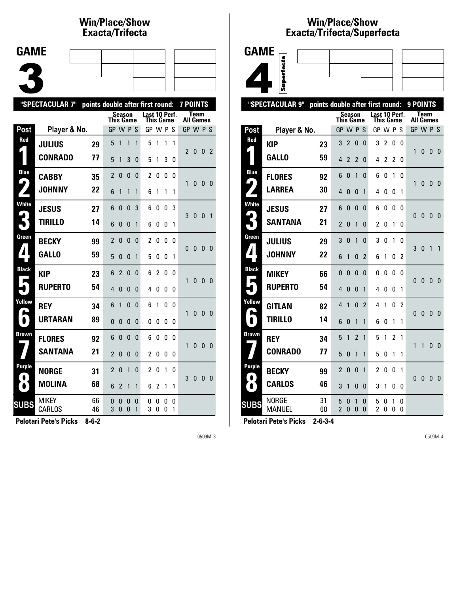## **Win/Place/Show Exacta/Tri fecta**

| <b>GAME</b> |  |  |  |
|-------------|--|--|--|
|             |  |  |  |
|             |  |  |  |
|             |  |  |  |

| "SPECTACULAR 7"<br>points double after first round: |                        |          |                  |                   |              |              |                                   |                |        |        | 7 POINTS         |              |              |                |
|-----------------------------------------------------|------------------------|----------|------------------|-------------------|--------------|--------------|-----------------------------------|----------------|--------|--------|------------------|--------------|--------------|----------------|
|                                                     |                        |          | <b>This Game</b> |                   | Season       |              | Last 10 Perf.<br><b>This Game</b> |                |        |        | <b>All Games</b> | <b>Team</b>  |              |                |
| Post                                                | Player & No.           |          | GP W P S         |                   |              |              | GP W P S                          |                |        |        | GP W P S         |              |              |                |
| Red                                                 | <b>JULIUS</b>          | 29       | 5                | 1                 | 1            | 1            | 5                                 | 1              | 1      | 1      | $\overline{2}$   |              |              |                |
|                                                     | <b>CONRADO</b>         | 77       | 5                | 1                 | 3            | 0            | 5                                 | 1              | 3      | 0      |                  | 0            | 0            | -2             |
| <b>Blue</b><br>$\blacktriangleleft$                 | <b>CABBY</b>           | 35       | $\overline{2}$   | 0                 | $\mathbf{0}$ | 0            | 2                                 | 0              | 0      | 0      | 1                | 0            | $\mathbf{0}$ | -0             |
|                                                     | <b>JOHNNY</b>          | 22       | 6                | 1                 | $\mathbf{1}$ | 1            | 6                                 | 1              | 1      | 1      |                  |              |              |                |
| <b>White</b>                                        | <b>JESUS</b>           | 27       | 6                | 0                 | $\mathbf{0}$ | 3            | 6                                 | 0              | 0      | 3      | 3                | $\bf{0}$     | 0            | $\overline{1}$ |
|                                                     | <b>TIRILLO</b>         | 14       | 6                | 0                 | 0            | 1            | 6                                 | 0              | 0      | 1      |                  |              |              |                |
| Green                                               | <b>BECKY</b>           | 99       | 2                | $\Omega$          | $\Omega$     | $\Omega$     | 2                                 | $\mathbf{0}$   | 0      | U      | 0                | $\mathbf{0}$ | 0            | 0              |
| $\blacktriangle$                                    | <b>GALLO</b>           | 59       | 5                | $\Omega$          | $\Omega$     | 1            | 5                                 | 0              | 0      | 1      |                  |              |              |                |
| <b>Black</b><br>Е                                   | KIP                    | 23       | 6                | 2                 | $\mathbf{0}$ | 0            | 6                                 | $\overline{2}$ | 0      | 0      | 1                | 0            | $\mathbf{0}$ | - 0            |
|                                                     | <b>RUPERTO</b>         | 54       | 4                | $\Omega$          | $\Omega$     | $\Omega$     | 4                                 | 0              | 0      | 0      |                  |              |              |                |
| Yellow<br>L                                         | <b>REY</b>             | 34       | 6                | 1                 | $\mathbf{0}$ | $\Omega$     | 6                                 | 1              | 0      | 0      | 1                | 0            | $\mathbf{0}$ | $\mathbf{0}$   |
| $\bullet$                                           | <b>URTARAN</b>         | 89       | 0                | 0                 | 0            | $\mathbf{0}$ | 0                                 | 0              | 0      | 0      |                  |              |              |                |
| <b>Brown</b>                                        | <b>FLORES</b>          | 92       | 6                | 0                 | 0            | 0            | 6                                 | 0              | 0      | 0      | 1                | 0            | $\mathbf{0}$ | - 0            |
|                                                     | <b>SANTANA</b>         | 21       | $\overline{2}$   | $\Omega$          | $\Omega$     | 0            | 2                                 | 0              | 0      | 0      |                  |              |              |                |
| <b>Purple</b><br>$\bullet$                          | <b>NORGE</b>           | 31       | $\overline{2}$   | 0                 | 1            | $\mathbf{0}$ | 2                                 | 0              | 1      | 0      | 3                | 0            | 0            | 0              |
| $\bullet$                                           | <b>MOLINA</b>          | 68       | 6                | $\overline{2}$    | 1            | 1            | 6                                 | 2              | 1      | 1      |                  |              |              |                |
| <b>SUBS</b>                                         | <b>MIKEY</b><br>CARLOS | 66<br>46 | 0<br>3           | 0<br>$\mathbf{0}$ | 0<br>0       | 0<br>1       | 0<br>3                            | 0<br>0         | 0<br>0 | 0<br>1 |                  |              |              |                |

**Pelotari Pete's Picks 8-6-2**

0509M 3

#### **Win/Place/Show Exacta/Tri fecta/Super fecta**



| "SPECTACULAR 9"            | points double after first round: |          |                               |                |                |                   |                                   |        |        | 9 POINTS       |              |                          |              |              |
|----------------------------|----------------------------------|----------|-------------------------------|----------------|----------------|-------------------|-----------------------------------|--------|--------|----------------|--------------|--------------------------|--------------|--------------|
|                            |                                  |          | <b>This Game</b>              |                | <b>Season</b>  |                   | Last 10 Perf.<br><b>This Game</b> |        |        |                |              | Team<br><b>All Games</b> |              |              |
| Post                       | Player & No.                     |          | GP                            |                | <b>WPS</b>     |                   | GP W P                            |        |        | -S             |              | GP W P S                 |              |              |
| Red                        | <b>KIP</b>                       | 23       | 3                             | $\overline{2}$ | 0              | $\mathbf{0}$      | 3                                 | 2      | 0      | 0              |              |                          |              |              |
|                            | <b>GALLO</b>                     | 59       | 4                             | $\overline{2}$ | $\overline{2}$ | 0                 | 4                                 | 2      | 2      | 0              | 1            | $\mathbf{0}$             | $\Omega$     | 0            |
| <b>Blue</b>                | <b>FLORES</b>                    | 92       | 6                             | 0              | 1              | 0                 | 6                                 | 0      | 1      | 0              |              |                          |              |              |
| 4                          | <b>LARREA</b>                    | 30       | 4                             | 0              | 0              | 1                 | 4                                 | 0      | 0      | 1              | 1            | 0                        | 0            | 0            |
| <b>White</b><br>ما         | <b>JESUS</b>                     | 27       | 6                             | 0              | 0              | $\mathbf{0}$      | 6                                 | 0      | 0      | 0              | $\Omega$     | $\mathbf{0}$             | $\Omega$     | - 0          |
|                            | <b>SANTANA</b>                   | 21       | $\overline{\phantom{a}}$      | 0              | 1              | 0                 | 2                                 | 0      | 1      | 0              |              |                          |              |              |
| Green                      | <b>JULIUS</b>                    | 29       | 3                             | 0              | 1              | 0                 | 3                                 | 0      | 1      | 0              | 3            | $\Omega$                 | 1            | 1            |
| ◢                          | <b>JOHNNY</b>                    | 22       | 6                             | 1              | 0              | $\overline{2}$    | 6                                 | 1      | 0      | $\overline{2}$ |              |                          |              |              |
| <b>Black</b><br>L          | <b>MIKEY</b>                     | 66       | 0                             | $\mathbf{0}$   | $\Omega$       | $\Omega$          | 0                                 | 0      | 0      | 0              | $\Omega$     | $\Omega$                 | $\Omega$     | $\mathbf{0}$ |
|                            | <b>RUPERTO</b>                   | 54       | 4                             | 0              | 0              | 1                 | 4                                 | 0      | 0      | 1              |              |                          |              |              |
| Yellow                     | <b>GITLAN</b>                    | 82       | 4                             | 1              | 0              | 2                 | 4                                 | 1      | 0      | $\overline{2}$ | $\Omega$     | $\mathbf{0}$             | $\mathbf{0}$ | 0            |
| L                          | <b>TIRILLO</b>                   | 14       | 6                             | 0              | 1              | 1                 | 6                                 | 0      | 1      | 1              |              |                          |              |              |
| <b>Brown</b>               | <b>REY</b>                       | 34       | 5                             | 1              | 2              | 1                 | 5                                 | 1      | 2      | 1              | 1            | 1                        | $\Omega$     | $\mathbf{0}$ |
|                            | <b>CONRADO</b>                   | 77       | 5                             | 0              | 1              | 1                 | 5                                 | 0      | 1      | 1              |              |                          |              |              |
| <b>Purple</b><br>$\bullet$ | <b>BECKY</b>                     | 99       | $\overline{2}$                | 0              | $\mathbf{0}$   | 1                 | $\overline{c}$                    | 0      | 0      | 1              | $\mathbf{0}$ |                          | $\mathbf{0}$ |              |
| $\bullet$                  | <b>CARLOS</b>                    | 46       | 3                             | 1              | 0              | 0                 | 3                                 | 1      | 0      | 0              |              | 0                        |              | 0            |
| <b>SUBS</b>                | <b>NORGE</b><br><b>MANUEL</b>    | 31<br>60 | 5<br>$\overline{\phantom{a}}$ | 0<br>$\Omega$  | 1<br>$\Omega$  | 0<br>$\mathbf{0}$ | 5<br>2                            | 0<br>0 | 1<br>0 | 0<br>0         |              |                          |              |              |
|                            |                                  |          |                               |                |                |                   |                                   |        |        |                |              |                          |              |              |

**Pelotari Pete's Picks 2-6-3-4**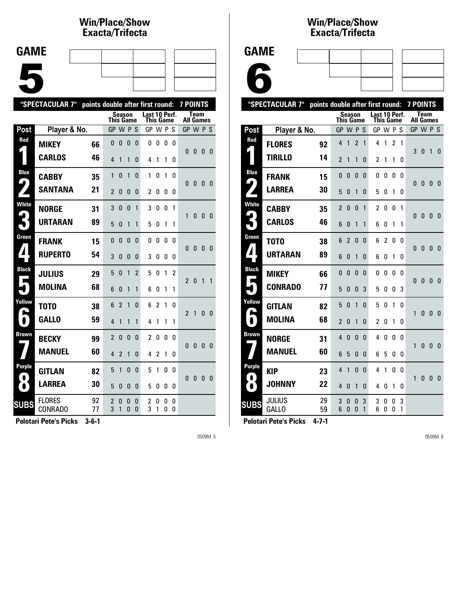## **Win/Place/Show Exacta/Tri fecta**

| <b>GAME</b> |  |  |  |
|-------------|--|--|--|
|             |  |  |  |
|             |  |  |  |
|             |  |  |  |
|             |  |  |  |
|             |  |  |  |
|             |  |  |  |
|             |  |  |  |

|                            | "SPECTACULAR 7"                 | points double after first round: |                     |                |              |                |                            |                |        | <b>7 POINTS</b> |                  |              |   |              |
|----------------------------|---------------------------------|----------------------------------|---------------------|----------------|--------------|----------------|----------------------------|----------------|--------|-----------------|------------------|--------------|---|--------------|
|                            |                                 |                                  | <b>This Game</b>    |                | Season       |                | Last 10 Perf.<br>This Game |                |        |                 | <b>All Games</b> | <b>Team</b>  |   |              |
| Post                       | Player & No.                    |                                  | <b>GP</b>           |                | <b>WPS</b>   |                | GP W P S                   |                |        |                 | GP W P S         |              |   |              |
| Red                        | <b>MIKEY</b>                    | 66                               | 0                   | 0              | 0            | 0              | 0                          | 0              | 0      | 0               | 0                | 0            | 0 | -0           |
|                            | <b>CARLOS</b>                   | 46                               | $\overline{4}$      | 1              | 1            | 0              | 4                          | 1              | 1      | 0               |                  |              |   |              |
| <b>Blue</b><br>9.          | <b>CABBY</b>                    | 35                               | 1                   | $\mathbf{0}$   | 1            | 0              | 1                          | 0              | 1      | 0               | $\mathbf{0}$     | $\bf{0}$     | 0 | 0            |
|                            | <b>SANTANA</b>                  | 21                               | $\overline{c}$      | 0              | $\mathbf{0}$ | 0              | 2                          | 0              | 0      | 0               |                  |              |   |              |
| <b>White</b>               | <b>NORGE</b>                    | 31                               | 3                   | 0              | $\mathbf{0}$ | 1              | 3                          | 0              | 0      | 1               | 1                | 0            | 0 | - 0          |
|                            | <b>URTARAN</b>                  | 89                               | 5                   | $\Omega$       | 1            | 1              | 5                          | 0              | 1      | 1               |                  |              |   |              |
| Green                      | FRANK                           | 15                               | 0                   | 0              | 0            | 0              | 0                          | 0              | 0      | 0               | 0                | $\bf{0}$     | 0 | -0           |
| $\blacktriangle$           | <b>RUPERTO</b>                  | 54                               | 3                   | $\Omega$       | 0            | 0              | 3                          | 0              | 0      | 0               |                  |              |   |              |
| <b>Black</b><br>П          | <b>JULIUS</b>                   | 29                               | 5                   | 0              | 1            | $\mathfrak{p}$ | 5                          | $\Omega$       | 1      | 2               | $\overline{2}$   | $\mathbf{0}$ | 1 | $\mathbf{1}$ |
|                            | <b>MOLINA</b>                   | 68                               | 6                   | $\Omega$       | 1            | 1              | 6                          | 0              | 1      | 1               |                  |              |   |              |
| Yellow<br>A                | T0T0                            | 38                               | 6                   | $\overline{2}$ | 1            | 0              | 6                          | $\overline{c}$ | 1      | 0               | $\overline{2}$   | $\mathbf{1}$ | 0 | $\mathbf{0}$ |
| $\bullet$                  | <b>GALLO</b>                    | 59                               | 4                   | 1              | 1            | 1              | 4                          | 1              | 1      | 1               |                  |              |   |              |
| Brown                      | <b>BECKY</b>                    | 99                               | 2                   | 0              | 0            | 0              | 2                          | 0              | 0      | 0               | 0                | 0            | 0 | $\mathbf{0}$ |
|                            | <b>MANUEL</b>                   | 60                               | 4                   | $\overline{2}$ | 1            | 0              | 4                          | $\overline{2}$ | 1      | 0               |                  |              |   |              |
| <b>Purple</b><br>$\bullet$ | <b>GITLAN</b>                   | 82                               | 5                   | 1              | $\mathbf{0}$ | 0              | 5                          | 1              | 0      | 0               | 0                | 0            | 0 | $\bf{0}$     |
| $\bullet$                  | <b>LARREA</b>                   | 30                               | 5                   | 0              | 0            | 0              | 5                          | 0              | 0      | 0               |                  |              |   |              |
| <b>SUBS</b>                | <b>FLORES</b><br><b>CONRADO</b> | 92<br>77                         | $\overline{2}$<br>3 | 0<br>1         | 0<br>0       | 0<br>$\Omega$  | 2<br>3                     | 0<br>1         | 0<br>0 | 0<br>0          |                  |              |   |              |
|                            |                                 |                                  |                     |                |              |                |                            |                |        |                 |                  |              |   |              |

**Pelotari Pete's Picks 3-6-1**

0509M 5

#### **Win/Place/Show Exacta/Tri fecta**

| <b>GAME</b> |
|-------------|
|             |

6

|                       | "SPECTACULAR 7"               | points double after first round: |                |              | <b>7 POINTS</b>     |              |                |           |        |        |                          |              |              |                |
|-----------------------|-------------------------------|----------------------------------|----------------|--------------|---------------------|--------------|----------------|-----------|--------|--------|--------------------------|--------------|--------------|----------------|
|                       |                               |                                  |                |              | Season<br>This Game |              | Last 10 Perf.  | This Game |        |        | Team<br><b>All Games</b> |              |              |                |
| Post                  | Player & No.                  |                                  | GP W P S       |              |                     |              | GP W P         |           |        | -S     |                          | GP W P S     |              |                |
| Red                   | <b>FLORES</b>                 | 92                               | 4              | 1            | $\overline{2}$      | 1            | 4              | 1         | 2      | 1      |                          |              |              |                |
|                       | TIRILLO                       | 14                               | $\overline{2}$ | 1            | 1                   | 0            | 2              | 1         | 1      | 0      | 3                        | 0            | 1            | 0              |
| <b>Blue</b>           | <b>FRANK</b>                  | 15                               | 0              | 0            | 0                   | 0            | 0              | 0         | 0      | 0      |                          |              |              |                |
| $\blacktriangleright$ | <b>LARREA</b>                 | 30                               | 5              | 0            | 1                   | 0            | 5              | 0         | 1      | 0      | $\Omega$                 | $\mathbf{0}$ | 0            | 0              |
| <b>White</b><br>′ ு   | CABBY                         | 35                               | 2              | 0            | 0                   | 1            | $\overline{c}$ | 0         | 0      | 1      | $\Omega$                 | 0            | 0            | 0              |
|                       | <b>CARLOS</b>                 | 46                               | 6              | 0            | 1                   | 1            | 6              | O         | 1      | 1      |                          |              |              |                |
| Green                 | T0T0                          | 38                               | 6              | 2            | 0                   | 0            | 6              | 2         | 0      | 0      | $\Omega$                 | $\mathbf{0}$ | $\mathbf{0}$ | 0              |
| ◢                     | <b>URTARAN</b>                | 89                               | 6              | 0            | 1                   | 0            | 6              | 0         | 1      | 0      |                          |              |              |                |
| <b>Black</b>          | <b>MIKEY</b>                  | 66                               | 0              | 0            | 0                   | 0            | 0              | 0         | 0      | 0      | $\Omega$                 | $\Omega$     | $\Omega$     | $\mathbf{0}$   |
|                       | <b>CONRADO</b>                | 77                               | 5              | 0            | 0                   | 3            | 5              | 0         | 0      | 3      |                          |              |              |                |
| Yellow                | <b>GITLAN</b>                 | 82                               | 5              | $\mathbf{0}$ | 1                   | $\mathbf{0}$ | 5              | 0         | 1      | 0      | 1                        | 0            | 0            | $\mathbf{0}$   |
|                       | <b>MOLINA</b>                 | 68                               | 2              | 0            | 1                   | 0            | $\overline{c}$ | 0         | 1      | 0      |                          |              |              |                |
| Brown                 | <b>NORGE</b>                  | 31                               | 4              | $\mathbf{0}$ | $\Omega$            | 0            | 4              | 0         | 0      | 0      | 1                        | $\mathbf{0}$ | $\mathbf{0}$ | 0              |
|                       | <b>MANUEL</b>                 | 60                               | 6              | 5            | 0                   | 0            | 6              | 5         | 0      | 0      |                          |              |              |                |
| Purple<br>. .         | <b>KIP</b>                    | 23                               | 4              | 1            | 0                   | 0            | 4              | 1         | 0      | 0      | 1                        | $\mathbf{0}$ | $\Omega$     | $\overline{0}$ |
| $\bullet$             | <b>JOHNNY</b>                 | 22                               | 4              | 0            | 1                   | 0            | 4              | 0         | 1      | 0      |                          |              |              |                |
| <b>SUBS</b>           | <b>JULIUS</b><br><b>GALLO</b> | 29<br>59                         | 3<br>6         | 0<br>0       | 0<br>0              | 3<br>1       | 3<br>6         | O<br>0    | O<br>O | 3<br>1 |                          |              |              |                |
|                       | . .                           |                                  |                |              |                     |              |                |           |        |        |                          |              |              |                |

**Pelotari Pete's Picks 4-7-1**